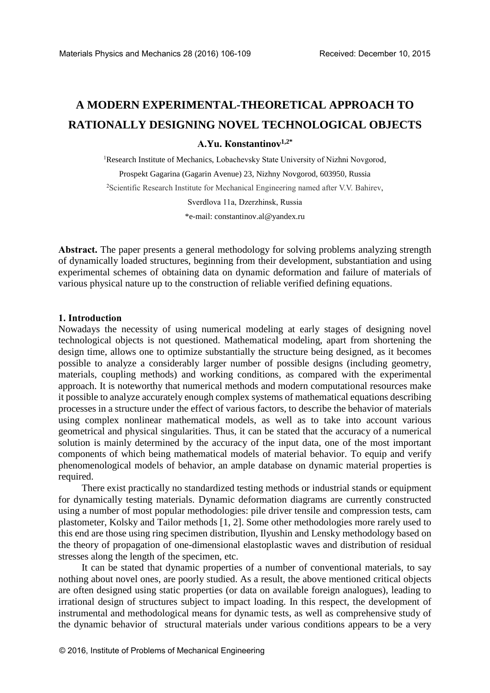# **A MODERN EXPERIMENTAL-THEORETICAL APPROACH TO RATIONALLY DESIGNING NOVEL TECHNOLOGICAL OBJECTS**

## **А.Yu. Кonstantinov1,2\***

<sup>1</sup>Research Institute of Mechanics, Lobachevsky State University of Nizhni Novgorod, Prospekt Gagarina (Gagarin Avenue) 23, Nizhny Novgorod, 603950, Russia <sup>2</sup>Scientific Research Institute for Mechanical Engineering named after V.V. Bahirev, Sverdlova 11a, Dzerzhinsk, Russia

\*e-mail: constantinov.al@yandex.ru

**Abstract.** The paper presents a general methodology for solving problems analyzing strength of dynamically loaded structures, beginning from their development, substantiation and using experimental schemes of obtaining data on dynamic deformation and failure of materials of various physical nature up to the construction of reliable verified defining equations.

#### **1. Introduction**

Nowadays the necessity of using numerical modeling at early stages of designing novel technological objects is not questioned. Mathematical modeling, apart from shortening the design time, allows one to optimize substantially the structure being designed, as it becomes possible to analyze a considerably larger number of possible designs (including geometry, materials, coupling methods) and working conditions, as compared with the experimental approach. It is noteworthy that numerical methods and modern computational resources make it possible to analyze accurately enough complex systems of mathematical equations describing processes in a structure under the effect of various factors, to describe the behavior of materials using complex nonlinear mathematical models, as well as to take into account various geometrical and physical singularities. Thus, it can be stated that the accuracy of a numerical solution is mainly determined by the accuracy of the input data, one of the most important components of which being mathematical models of material behavior. To equip and verify phenomenological models of behavior, an ample database on dynamic material properties is required.

There exist practically no standardized testing methods or industrial stands or equipment for dynamically testing materials. Dynamic deformation diagrams are currently constructed using a number of most popular methodologies: pile driver tensile and compression tests, cam plastometer, Kolsky and Tailor methods [1, 2]. Some other methodologies more rarely used to this end are those using ring specimen distribution, Ilyushin and Lensky methodology based on the theory of propagation of one-dimensional elastoplastic waves and distribution of residual stresses along the length of the specimen, etc.

It can be stated that dynamic properties of a number of conventional materials, to say nothing about novel ones, are poorly studied. As a result, the above mentioned critical objects are often designed using static properties (or data on available foreign analogues), leading to irrational design of structures subject to impact loading. In this respect, the development of instrumental and methodological means for dynamic tests, as well as comprehensive study of the dynamic behavior of structural materials under various conditions appears to be a very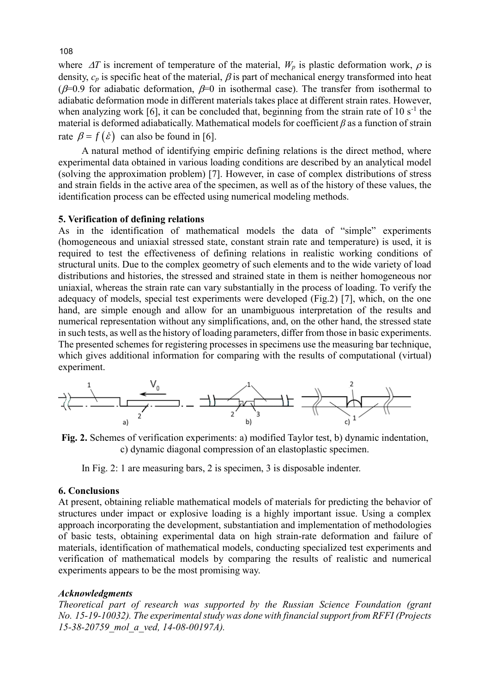where  $\Delta T$  is increment of temperature of the material,  $W_p$  is plastic deformation work,  $\rho$  is density,  $c_p$  is specific heat of the material,  $\beta$  is part of mechanical energy transformed into heat ( $\beta$ =0.9 for adiabatic deformation,  $\beta$ =0 in isothermal case). The transfer from isothermal to adiabatic deformation mode in different materials takes place at different strain rates. However, when analyzing work [6], it can be concluded that, beginning from the strain rate of  $10 s<sup>-1</sup>$  the material is deformed adiabatically. Mathematical models for coefficient *β* as a function of strain rate  $\beta = f(\dot{\varepsilon})$  can also be found in [6].

A natural method of identifying empiric defining relations is the direct method, where experimental data obtained in various loading conditions are described by an analytical model (solving the approximation problem) [7]. However, in case of complex distributions of stress and strain fields in the active area of the specimen, as well as of the history of these values, the identification process can be effected using numerical modeling methods.

#### **5. Verification of defining relations**

As in the identification of mathematical models the data of "simple" experiments (homogeneous and uniaxial stressed state, constant strain rate and temperature) is used, it is required to test the effectiveness of defining relations in realistic working conditions of structural units. Due to the complex geometry of such elements and to the wide variety of load distributions and histories, the stressed and strained state in them is neither homogeneous nor uniaxial, whereas the strain rate can vary substantially in the process of loading. To verify the adequacy of models, special test experiments were developed (Fig.2) [7], which, on the one hand, are simple enough and allow for an unambiguous interpretation of the results and numerical representation without any simplifications, and, on the other hand, the stressed state in such tests, as well as the history of loading parameters, differ from those in basic experiments. The presented schemes for registering processes in specimens use the measuring bar technique, which gives additional information for comparing with the results of computational (virtual) experiment.



**Fig. 2.** Schemes of verification experiments: а) modified Taylor test, b) dynamic indentation, с) dynamic diagonal compression of an elastoplastic specimen.

In Fig. 2: 1 are measuring bars, 2 is specimen, 3 is disposable indenter.

#### **6. Conclusions**

At present, obtaining reliable mathematical models of materials for predicting the behavior of structures under impact or explosive loading is a highly important issue. Using a complex approach incorporating the development, substantiation and implementation of methodologies of basic tests, obtaining experimental data on high strain-rate deformation and failure of materials, identification of mathematical models, conducting specialized test experiments and verification of mathematical models by comparing the results of realistic and numerical experiments appears to be the most promising way.

#### *Acknowledgments*

*Theoretical part of research was supported by the Russian Science Foundation (grant No. 15-19-10032). The experimental study was done with financial support from RFFI (Projects 15-38-20759\_mol\_a\_ved, 14-08-00197A).*

108